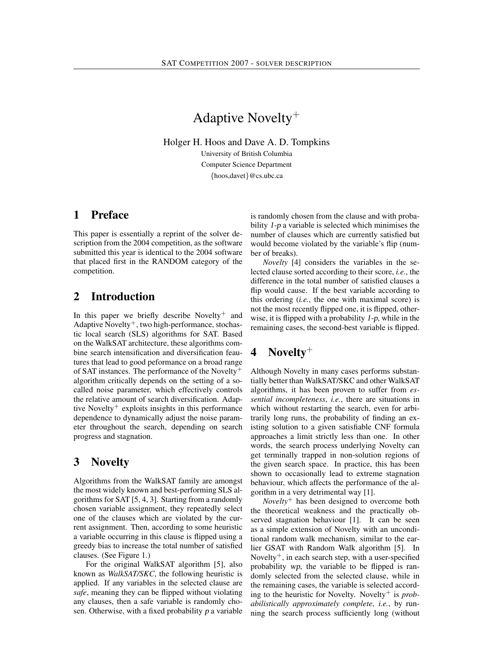# Adaptive Novelty<sup>+</sup>

Holger H. Hoos and Dave A. D. Tompkins

University of British Columbia Computer Science Department {hoos,davet}@cs.ubc.ca

#### 1 Preface

This paper is essentially a reprint of the solver description from the 2004 competition, as the software submitted this year is identical to the 2004 software that placed first in the RANDOM category of the competition.

### 2 Introduction

In this paper we briefly describe Novelty<sup>+</sup> and Adaptive Novelty<sup>+</sup>, two high-performance, stochastic local search (SLS) algorithms for SAT. Based on the WalkSAT architecture, these algorithms combine search intensification and diversification feautures that lead to good peformance on a broad range of SAT instances. The performance of the Novelty<sup>+</sup> algorithm critically depends on the setting of a socalled noise parameter, which effectively controls the relative amount of search diversification. Adaptive Novelty<sup>+</sup> exploits insights in this performance dependence to dynamically adjust the noise parameter throughout the search, depending on search progress and stagnation.

## 3 Novelty

Algorithms from the WalkSAT family are amongst the most widely known and best-performing SLS algorithms for SAT [5, 4, 3]. Starting from a randomly chosen variable assignment, they repeatedly select one of the clauses which are violated by the current assignment. Then, according to some heuristic a variable occurring in this clause is flipped using a greedy bias to increase the total number of satisfied clauses. (See Figure 1.)

For the original WalkSAT algorithm [5], also known as *WalkSAT/SKC*, the following heuristic is applied. If any variables in the selected clause are *safe*, meaning they can be flipped without violating any clauses, then a safe variable is randomly chosen. Otherwise, with a fixed probability p a variable is randomly chosen from the clause and with probability 1-p a variable is selected which minimises the number of clauses which are currently satisfied but would become violated by the variable's flip (number of breaks).

*Novelty* [4] considers the variables in the selected clause sorted according to their score, *i.e.*, the difference in the total number of satisfied clauses a flip would cause. If the best variable according to this ordering (*i.e.*, the one with maximal score) is not the most recently flipped one, it is flipped, otherwise, it is flipped with a probability  $1-p$ , while in the remaining cases, the second-best variable is flipped.

## 4 Novelty<sup>+</sup>

Although Novelty in many cases performs substantially better than WalkSAT/SKC and other WalkSAT algorithms, it has been proven to suffer from *essential incompleteness*, *i.e.*, there are situations in which without restarting the search, even for arbitrarily long runs, the probability of finding an existing solution to a given satisfiable CNF formula approaches a limit strictly less than one. In other words, the search process underlying Novelty can get terminally trapped in non-solution regions of the given search space. In practice, this has been shown to occasionally lead to extreme stagnation behaviour, which affects the performance of the algorithm in a very detrimental way [1].

*Novelty*<sup>+</sup> has been designed to overcome both the theoretical weakness and the practically observed stagnation behaviour [1]. It can be seen as a simple extension of Novelty with an unconditional random walk mechanism, similar to the earlier GSAT with Random Walk algorithm [5]. In Novelty<sup>+</sup>, in each search step, with a user-specified probability wp, the variable to be flipped is randomly selected from the selected clause, while in the remaining cases, the variable is selected according to the heuristic for Novelty. Novelty<sup>+</sup> is *probabilistically approximately complete*, *i.e.*, by running the search process sufficiently long (without